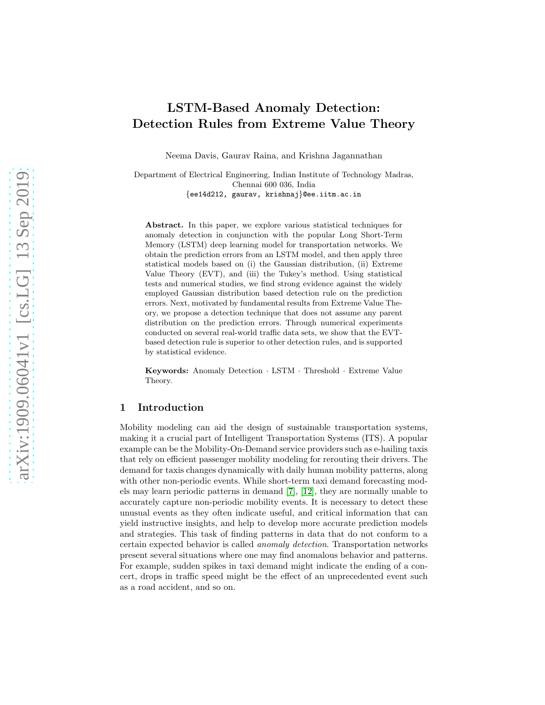# LSTM-Based Anomaly Detection: Detection Rules from Extreme Value Theory

Neema Davis, Gaurav Raina, and Krishna Jagannathan

Department of Electrical Engineering, Indian Institute of Technology Madras, Chennai 600 036, India {ee14d212, gaurav, krishnaj}@ee.iitm.ac.in

Abstract. In this paper, we explore various statistical techniques for anomaly detection in conjunction with the popular Long Short-Term Memory (LSTM) deep learning model for transportation networks. We obtain the prediction errors from an LSTM model, and then apply three statistical models based on (i) the Gaussian distribution, (ii) Extreme Value Theory (EVT), and (iii) the Tukey's method. Using statistical tests and numerical studies, we find strong evidence against the widely employed Gaussian distribution based detection rule on the prediction errors. Next, motivated by fundamental results from Extreme Value Theory, we propose a detection technique that does not assume any parent distribution on the prediction errors. Through numerical experiments conducted on several real-world traffic data sets, we show that the EVTbased detection rule is superior to other detection rules, and is supported by statistical evidence.

Keywords: Anomaly Detection · LSTM · Threshold · Extreme Value Theory.

## 1 Introduction

Mobility modeling can aid the design of sustainable transportation systems, making it a crucial part of Intelligent Transportation Systems (ITS). A popular example can be the Mobility-On-Demand service providers such as e-hailing taxis that rely on efficient passenger mobility modeling for rerouting their drivers. The demand for taxis changes dynamically with daily human mobility patterns, along with other non-periodic events. While short-term taxi demand forecasting models may learn periodic patterns in demand [\[7\]](#page-11-0), [\[12\]](#page-11-1), they are normally unable to accurately capture non-periodic mobility events. It is necessary to detect these unusual events as they often indicate useful, and critical information that can yield instructive insights, and help to develop more accurate prediction models and strategies. This task of finding patterns in data that do not conform to a certain expected behavior is called anomaly detection. Transportation networks present several situations where one may find anomalous behavior and patterns. For example, sudden spikes in taxi demand might indicate the ending of a concert, drops in traffic speed might be the effect of an unprecedented event such as a road accident, and so on.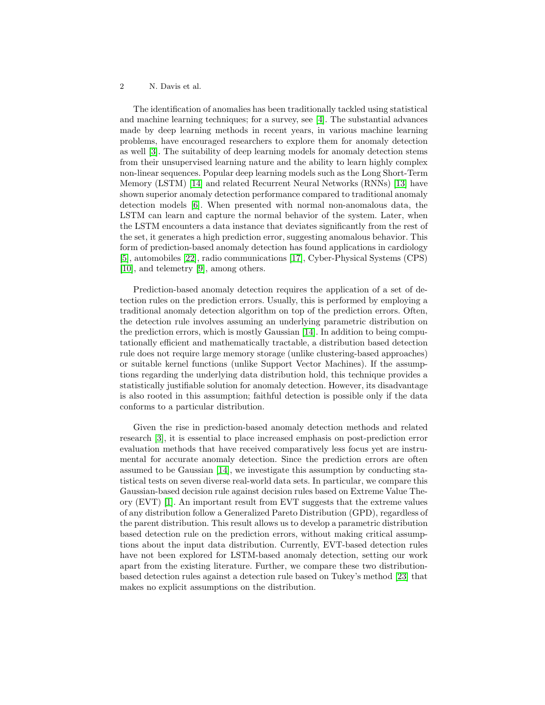### 2 N. Davis et al.

The identification of anomalies has been traditionally tackled using statistical and machine learning techniques; for a survey, see [\[4\]](#page-10-0). The substantial advances made by deep learning methods in recent years, in various machine learning problems, have encouraged researchers to explore them for anomaly detection as well [\[3\]](#page-10-1). The suitability of deep learning models for anomaly detection stems from their unsupervised learning nature and the ability to learn highly complex non-linear sequences. Popular deep learning models such as the Long Short-Term Memory (LSTM) [\[14\]](#page-11-2) and related Recurrent Neural Networks (RNNs) [\[13\]](#page-11-3) have shown superior anomaly detection performance compared to traditional anomaly detection models [\[6\]](#page-10-2). When presented with normal non-anomalous data, the LSTM can learn and capture the normal behavior of the system. Later, when the LSTM encounters a data instance that deviates significantly from the rest of the set, it generates a high prediction error, suggesting anomalous behavior. This form of prediction-based anomaly detection has found applications in cardiology [\[5\]](#page-10-3), automobiles [\[22\]](#page-11-4), radio communications [\[17\]](#page-11-5), Cyber-Physical Systems (CPS) [\[10\]](#page-11-6), and telemetry [\[9\]](#page-11-7), among others.

Prediction-based anomaly detection requires the application of a set of detection rules on the prediction errors. Usually, this is performed by employing a traditional anomaly detection algorithm on top of the prediction errors. Often, the detection rule involves assuming an underlying parametric distribution on the prediction errors, which is mostly Gaussian [\[14\]](#page-11-2). In addition to being computationally efficient and mathematically tractable, a distribution based detection rule does not require large memory storage (unlike clustering-based approaches) or suitable kernel functions (unlike Support Vector Machines). If the assumptions regarding the underlying data distribution hold, this technique provides a statistically justifiable solution for anomaly detection. However, its disadvantage is also rooted in this assumption; faithful detection is possible only if the data conforms to a particular distribution.

Given the rise in prediction-based anomaly detection methods and related research [\[3\]](#page-10-1), it is essential to place increased emphasis on post-prediction error evaluation methods that have received comparatively less focus yet are instrumental for accurate anomaly detection. Since the prediction errors are often assumed to be Gaussian [\[14\]](#page-11-2), we investigate this assumption by conducting statistical tests on seven diverse real-world data sets. In particular, we compare this Gaussian-based decision rule against decision rules based on Extreme Value Theory (EVT) [\[1\]](#page-10-4). An important result from EVT suggests that the extreme values of any distribution follow a Generalized Pareto Distribution (GPD), regardless of the parent distribution. This result allows us to develop a parametric distribution based detection rule on the prediction errors, without making critical assumptions about the input data distribution. Currently, EVT-based detection rules have not been explored for LSTM-based anomaly detection, setting our work apart from the existing literature. Further, we compare these two distributionbased detection rules against a detection rule based on Tukey's method [\[23\]](#page-11-8) that makes no explicit assumptions on the distribution.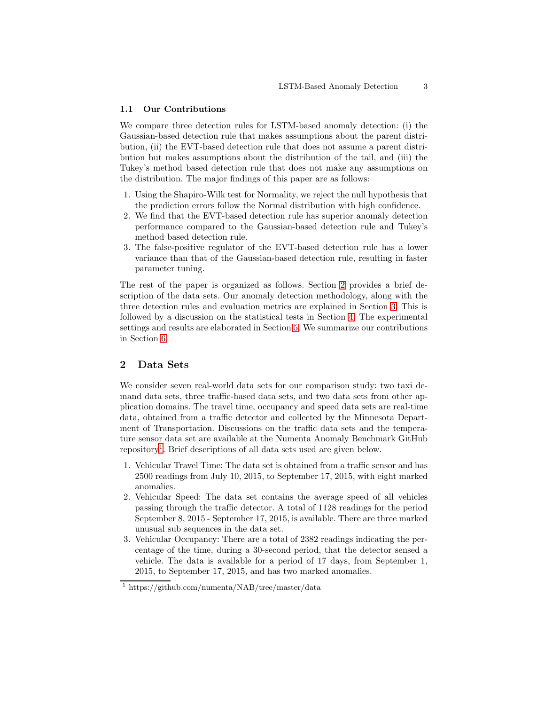## 1.1 Our Contributions

We compare three detection rules for LSTM-based anomaly detection: (i) the Gaussian-based detection rule that makes assumptions about the parent distribution, (ii) the EVT-based detection rule that does not assume a parent distribution but makes assumptions about the distribution of the tail, and (iii) the Tukey's method based detection rule that does not make any assumptions on the distribution. The major findings of this paper are as follows:

- 1. Using the Shapiro-Wilk test for Normality, we reject the null hypothesis that the prediction errors follow the Normal distribution with high confidence.
- 2. We find that the EVT-based detection rule has superior anomaly detection performance compared to the Gaussian-based detection rule and Tukey's method based detection rule.
- 3. The false-positive regulator of the EVT-based detection rule has a lower variance than that of the Gaussian-based detection rule, resulting in faster parameter tuning.

The rest of the paper is organized as follows. Section [2](#page-2-0) provides a brief description of the data sets. Our anomaly detection methodology, along with the three detection rules and evaluation metrics are explained in Section [3.](#page-3-0) This is followed by a discussion on the statistical tests in Section [4.](#page-5-0) The experimental settings and results are elaborated in Section [5.](#page-6-0) We summarize our contributions in Section [6.](#page-10-5)

# <span id="page-2-0"></span>2 Data Sets

We consider seven real-world data sets for our comparison study: two taxi demand data sets, three traffic-based data sets, and two data sets from other application domains. The travel time, occupancy and speed data sets are real-time data, obtained from a traffic detector and collected by the Minnesota Department of Transportation. Discussions on the traffic data sets and the temperature sensor data set are available at the Numenta Anomaly Benchmark GitHub repository<sup>[1](#page-2-1)</sup>. Brief descriptions of all data sets used are given below.

- 1. Vehicular Travel Time: The data set is obtained from a traffic sensor and has 2500 readings from July 10, 2015, to September 17, 2015, with eight marked anomalies.
- 2. Vehicular Speed: The data set contains the average speed of all vehicles passing through the traffic detector. A total of 1128 readings for the period September 8, 2015 - September 17, 2015, is available. There are three marked unusual sub sequences in the data set.
- 3. Vehicular Occupancy: There are a total of 2382 readings indicating the percentage of the time, during a 30-second period, that the detector sensed a vehicle. The data is available for a period of 17 days, from September 1, 2015, to September 17, 2015, and has two marked anomalies.

<span id="page-2-1"></span><sup>&</sup>lt;sup>1</sup> https://github.com/numenta/NAB/tree/master/data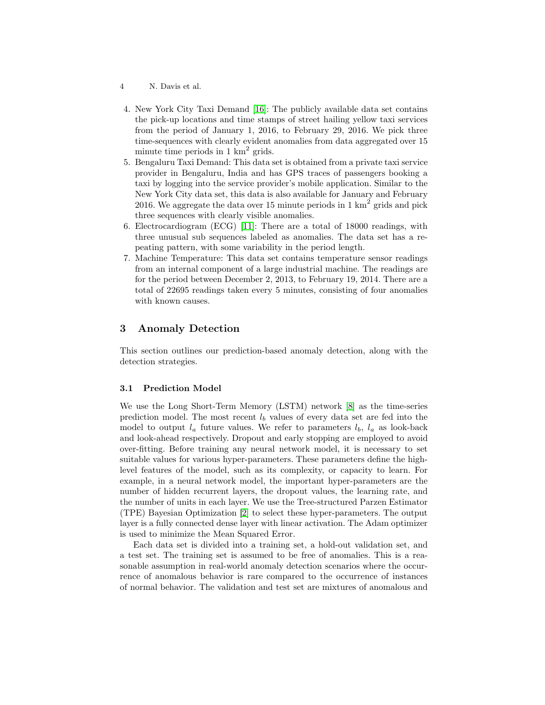- 4 N. Davis et al.
- 4. New York City Taxi Demand [\[16\]](#page-11-9): The publicly available data set contains the pick-up locations and time stamps of street hailing yellow taxi services from the period of January 1, 2016, to February 29, 2016. We pick three time-sequences with clearly evident anomalies from data aggregated over 15 minute time periods in  $1 \text{ km}^2$  grids.
- 5. Bengaluru Taxi Demand: This data set is obtained from a private taxi service provider in Bengaluru, India and has GPS traces of passengers booking a taxi by logging into the service provider's mobile application. Similar to the New York City data set, this data is also available for January and February 2016. We aggregate the data over 15 minute periods in 1 km<sup>2</sup> grids and pick three sequences with clearly visible anomalies.
- 6. Electrocardiogram (ECG) [\[11\]](#page-11-10): There are a total of 18000 readings, with three unusual sub sequences labeled as anomalies. The data set has a repeating pattern, with some variability in the period length.
- 7. Machine Temperature: This data set contains temperature sensor readings from an internal component of a large industrial machine. The readings are for the period between December 2, 2013, to February 19, 2014. There are a total of 22695 readings taken every 5 minutes, consisting of four anomalies with known causes.

# <span id="page-3-0"></span>3 Anomaly Detection

This section outlines our prediction-based anomaly detection, along with the detection strategies.

## 3.1 Prediction Model

We use the Long Short-Term Memory (LSTM) network [\[8\]](#page-11-11) as the time-series prediction model. The most recent  $l_b$  values of every data set are fed into the model to output  $l_a$  future values. We refer to parameters  $l_b$ ,  $l_a$  as look-back and look-ahead respectively. Dropout and early stopping are employed to avoid over-fitting. Before training any neural network model, it is necessary to set suitable values for various hyper-parameters. These parameters define the highlevel features of the model, such as its complexity, or capacity to learn. For example, in a neural network model, the important hyper-parameters are the number of hidden recurrent layers, the dropout values, the learning rate, and the number of units in each layer. We use the Tree-structured Parzen Estimator (TPE) Bayesian Optimization [\[2\]](#page-10-6) to select these hyper-parameters. The output layer is a fully connected dense layer with linear activation. The Adam optimizer is used to minimize the Mean Squared Error.

Each data set is divided into a training set, a hold-out validation set, and a test set. The training set is assumed to be free of anomalies. This is a reasonable assumption in real-world anomaly detection scenarios where the occurrence of anomalous behavior is rare compared to the occurrence of instances of normal behavior. The validation and test set are mixtures of anomalous and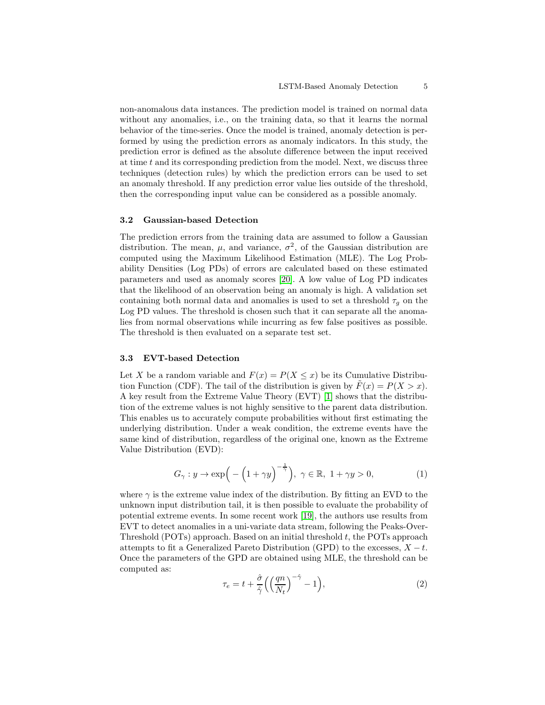non-anomalous data instances. The prediction model is trained on normal data without any anomalies, i.e., on the training data, so that it learns the normal behavior of the time-series. Once the model is trained, anomaly detection is performed by using the prediction errors as anomaly indicators. In this study, the prediction error is defined as the absolute difference between the input received at time  $t$  and its corresponding prediction from the model. Next, we discuss three techniques (detection rules) by which the prediction errors can be used to set an anomaly threshold. If any prediction error value lies outside of the threshold, then the corresponding input value can be considered as a possible anomaly.

### 3.2 Gaussian-based Detection

The prediction errors from the training data are assumed to follow a Gaussian distribution. The mean,  $\mu$ , and variance,  $\sigma^2$ , of the Gaussian distribution are computed using the Maximum Likelihood Estimation (MLE). The Log Probability Densities (Log PDs) of errors are calculated based on these estimated parameters and used as anomaly scores [\[20\]](#page-11-12). A low value of Log PD indicates that the likelihood of an observation being an anomaly is high. A validation set containing both normal data and anomalies is used to set a threshold  $\tau_g$  on the Log PD values. The threshold is chosen such that it can separate all the anomalies from normal observations while incurring as few false positives as possible. The threshold is then evaluated on a separate test set.

#### 3.3 EVT-based Detection

Let X be a random variable and  $F(x) = P(X \leq x)$  be its Cumulative Distribution Function (CDF). The tail of the distribution is given by  $\tilde{F}(x) = P(X > x)$ . A key result from the Extreme Value Theory (EVT) [\[1\]](#page-10-4) shows that the distribution of the extreme values is not highly sensitive to the parent data distribution. This enables us to accurately compute probabilities without first estimating the underlying distribution. Under a weak condition, the extreme events have the same kind of distribution, regardless of the original one, known as the Extreme Value Distribution (EVD):

$$
G_{\gamma}: y \to \exp\Big(-\Big(1+\gamma y\Big)^{-\frac{1}{\gamma}}\Big), \ \gamma \in \mathbb{R}, \ 1+\gamma y > 0, \tag{1}
$$

where  $\gamma$  is the extreme value index of the distribution. By fitting an EVD to the unknown input distribution tail, it is then possible to evaluate the probability of potential extreme events. In some recent work [\[19\]](#page-11-13), the authors use results from EVT to detect anomalies in a uni-variate data stream, following the Peaks-Over-Threshold (POTs) approach. Based on an initial threshold t, the POTs approach attempts to fit a Generalized Pareto Distribution (GPD) to the excesses,  $X - t$ . Once the parameters of the GPD are obtained using MLE, the threshold can be computed as:

$$
\tau_e = t + \frac{\hat{\sigma}}{\hat{\gamma}} \left( \left( \frac{qn}{N_t} \right)^{-\hat{\gamma}} - 1 \right),\tag{2}
$$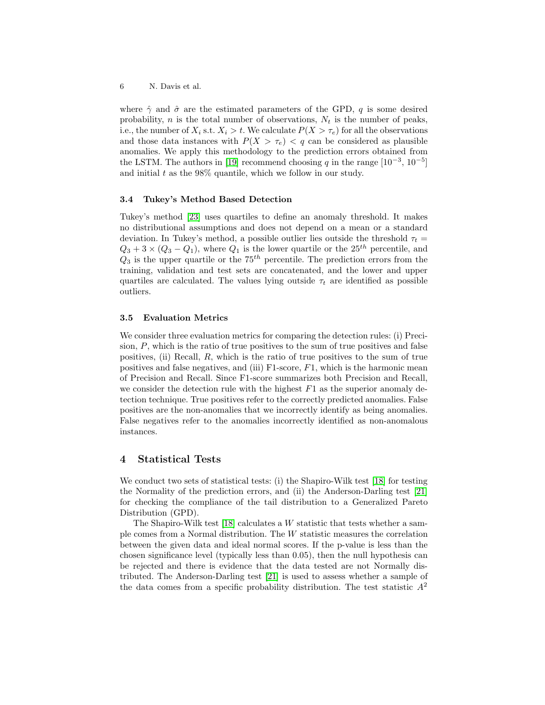6 N. Davis et al.

where  $\hat{\gamma}$  and  $\hat{\sigma}$  are the estimated parameters of the GPD, q is some desired probability, n is the total number of observations,  $N_t$  is the number of peaks, i.e., the number of  $X_i$  s.t.  $X_i > t$ . We calculate  $P(X > \tau_e)$  for all the observations and those data instances with  $P(X > \tau_e) < q$  can be considered as plausible anomalies. We apply this methodology to the prediction errors obtained from the LSTM. The authors in [\[19\]](#page-11-13) recommend choosing q in the range  $[10^{-3}, 10^{-5}]$ and initial  $t$  as the 98% quantile, which we follow in our study.

## 3.4 Tukey's Method Based Detection

Tukey's method [\[23\]](#page-11-8) uses quartiles to define an anomaly threshold. It makes no distributional assumptions and does not depend on a mean or a standard deviation. In Tukey's method, a possible outlier lies outside the threshold  $\tau_t =$  $Q_3 + 3 \times (Q_3 - Q_1)$ , where  $Q_1$  is the lower quartile or the  $25<sup>th</sup>$  percentile, and  $Q_3$  is the upper quartile or the  $75<sup>th</sup>$  percentile. The prediction errors from the training, validation and test sets are concatenated, and the lower and upper quartiles are calculated. The values lying outside  $\tau_t$  are identified as possible outliers.

## 3.5 Evaluation Metrics

We consider three evaluation metrics for comparing the detection rules: (i) Precision,  $P$ , which is the ratio of true positives to the sum of true positives and false positives, (ii) Recall,  $R$ , which is the ratio of true positives to the sum of true positives and false negatives, and (iii)  $F1$ -score,  $F1$ , which is the harmonic mean of Precision and Recall. Since F1-score summarizes both Precision and Recall, we consider the detection rule with the highest  $F_1$  as the superior anomaly detection technique. True positives refer to the correctly predicted anomalies. False positives are the non-anomalies that we incorrectly identify as being anomalies. False negatives refer to the anomalies incorrectly identified as non-anomalous instances.

# <span id="page-5-0"></span>4 Statistical Tests

We conduct two sets of statistical tests: (i) the Shapiro-Wilk test [\[18\]](#page-11-14) for testing the Normality of the prediction errors, and (ii) the Anderson-Darling test [\[21\]](#page-11-15) for checking the compliance of the tail distribution to a Generalized Pareto Distribution (GPD).

The Shapiro-Wilk test  $[18]$  calculates a W statistic that tests whether a sample comes from a Normal distribution. The W statistic measures the correlation between the given data and ideal normal scores. If the p-value is less than the chosen significance level (typically less than 0.05), then the null hypothesis can be rejected and there is evidence that the data tested are not Normally distributed. The Anderson-Darling test [\[21\]](#page-11-15) is used to assess whether a sample of the data comes from a specific probability distribution. The test statistic  $A^2$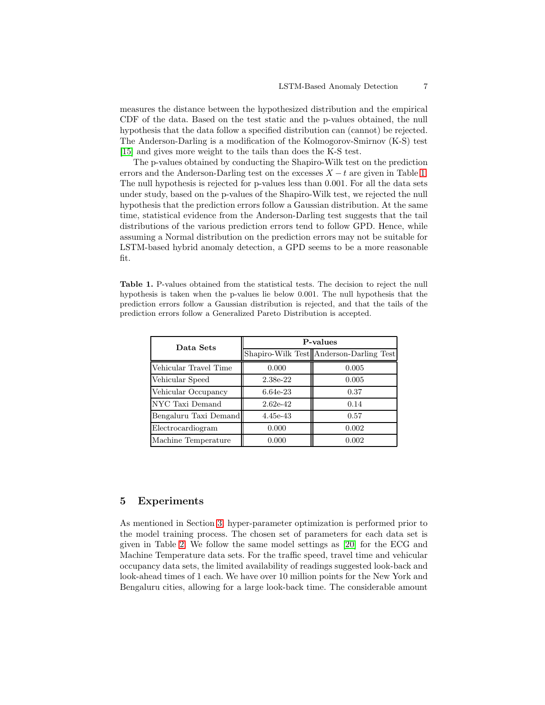measures the distance between the hypothesized distribution and the empirical CDF of the data. Based on the test static and the p-values obtained, the null hypothesis that the data follow a specified distribution can (cannot) be rejected. The Anderson-Darling is a modification of the Kolmogorov-Smirnov (K-S) test [\[15\]](#page-11-16) and gives more weight to the tails than does the K-S test.

The p-values obtained by conducting the Shapiro-Wilk test on the prediction errors and the Anderson-Darling test on the excesses  $X - t$  are given in Table [1.](#page-6-1) The null hypothesis is rejected for p-values less than 0.001. For all the data sets under study, based on the p-values of the Shapiro-Wilk test, we rejected the null hypothesis that the prediction errors follow a Gaussian distribution. At the same time, statistical evidence from the Anderson-Darling test suggests that the tail distributions of the various prediction errors tend to follow GPD. Hence, while assuming a Normal distribution on the prediction errors may not be suitable for LSTM-based hybrid anomaly detection, a GPD seems to be a more reasonable fit.

<span id="page-6-1"></span>Table 1. P-values obtained from the statistical tests. The decision to reject the null hypothesis is taken when the p-values lie below 0.001. The null hypothesis that the prediction errors follow a Gaussian distribution is rejected, and that the tails of the prediction errors follow a Generalized Pareto Distribution is accepted.

| Data Sets             | P-values |                                         |  |  |  |  |
|-----------------------|----------|-----------------------------------------|--|--|--|--|
|                       |          | Shapiro-Wilk Test Anderson-Darling Test |  |  |  |  |
| Vehicular Travel Time | 0.000    | 0.005                                   |  |  |  |  |
| Vehicular Speed       | 2.38e-22 | 0.005                                   |  |  |  |  |
| Vehicular Occupancy   | 6.64e-23 | 0.37                                    |  |  |  |  |
| NYC Taxi Demand       | 2.62e-42 | 0.14                                    |  |  |  |  |
| Bengaluru Taxi Demand | 4.45e-43 | 0.57                                    |  |  |  |  |
| Electrocardiogram     | 0.000    | 0.002                                   |  |  |  |  |
| Machine Temperature   | 0.000    | 0.002                                   |  |  |  |  |

# <span id="page-6-0"></span>5 Experiments

As mentioned in Section [3,](#page-3-0) hyper-parameter optimization is performed prior to the model training process. The chosen set of parameters for each data set is given in Table [2.](#page-7-0) We follow the same model settings as [\[20\]](#page-11-12) for the ECG and Machine Temperature data sets. For the traffic speed, travel time and vehicular occupancy data sets, the limited availability of readings suggested look-back and look-ahead times of 1 each. We have over 10 million points for the New York and Bengaluru cities, allowing for a large look-back time. The considerable amount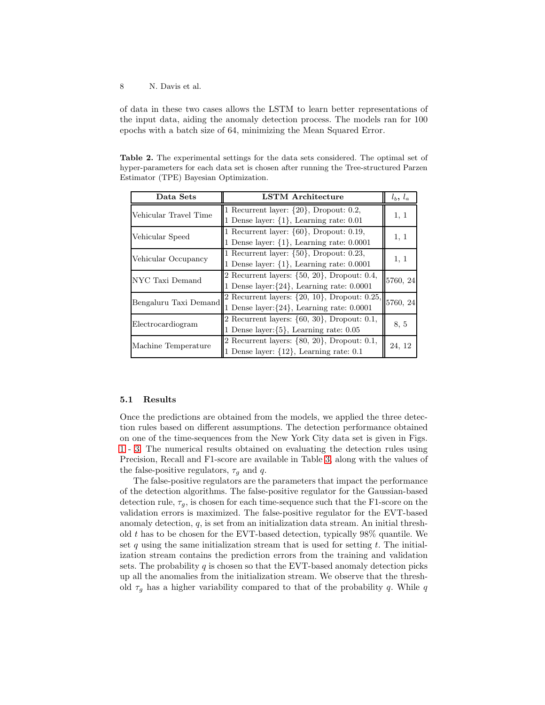of data in these two cases allows the LSTM to learn better representations of the input data, aiding the anomaly detection process. The models ran for 100 epochs with a batch size of 64, minimizing the Mean Squared Error.

<span id="page-7-0"></span>Table 2. The experimental settings for the data sets considered. The optimal set of hyper-parameters for each data set is chosen after running the Tree-structured Parzen Estimator (TPE) Bayesian Optimization.

| Data Sets             | <b>LSTM</b> Architecture                          | $l_b, l_a$ |  |
|-----------------------|---------------------------------------------------|------------|--|
| Vehicular Travel Time | 1 Recurrent layer: $\{20\}$ , Dropout: 0.2,       | 1, 1       |  |
|                       | 1 Dense layer: $\{1\}$ , Learning rate: 0.01      |            |  |
| Vehicular Speed       | 1 Recurrent layer: {60}, Dropout: 0.19,           | 1, 1       |  |
|                       | 1 Dense layer: $\{1\}$ , Learning rate: $0.0001$  |            |  |
| Vehicular Occupancy   | 1 Recurrent layer: $\{50\}$ , Dropout: 0.23,      |            |  |
|                       | 1 Dense layer: $\{1\}$ , Learning rate: 0.0001    | 1, 1       |  |
| NYC Taxi Demand       | 2 Recurrent layers: {50, 20}, Dropout: 0.4,       | 5760, 24   |  |
|                       | 1 Dense layer: $\{24\}$ , Learning rate: $0.0001$ |            |  |
| Bengaluru Taxi Demand | 2 Recurrent layers: {20, 10}, Dropout: 0.25,      | 5760, 24   |  |
|                       | 1 Dense layer: $\{24\}$ , Learning rate: 0.0001   |            |  |
| Electrocardiogram     | 2 Recurrent layers: {60, 30}, Dropout: 0.1,       | 8, 5       |  |
|                       | 1 Dense layer: $\{5\}$ , Learning rate: 0.05      |            |  |
| Machine Temperature   | 2 Recurrent layers: {80, 20}, Dropout: 0.1,       |            |  |
|                       | 1 Dense layer: {12}, Learning rate: 0.1           | 24, 12     |  |

#### 5.1 Results

Once the predictions are obtained from the models, we applied the three detection rules based on different assumptions. The detection performance obtained on one of the time-sequences from the New York City data set is given in Figs. [1](#page-8-0) - [3.](#page-8-1) The numerical results obtained on evaluating the detection rules using Precision, Recall and F1-score are available in Table [3,](#page-9-0) along with the values of the false-positive regulators,  $\tau_q$  and q.

The false-positive regulators are the parameters that impact the performance of the detection algorithms. The false-positive regulator for the Gaussian-based detection rule,  $\tau_g$ , is chosen for each time-sequence such that the F1-score on the validation errors is maximized. The false-positive regulator for the EVT-based anomaly detection,  $q$ , is set from an initialization data stream. An initial threshold  $t$  has to be chosen for the EVT-based detection, typically 98% quantile. We set q using the same initialization stream that is used for setting t. The initialization stream contains the prediction errors from the training and validation sets. The probability  $q$  is chosen so that the EVT-based anomaly detection picks up all the anomalies from the initialization stream. We observe that the threshold  $\tau_g$  has a higher variability compared to that of the probability q. While q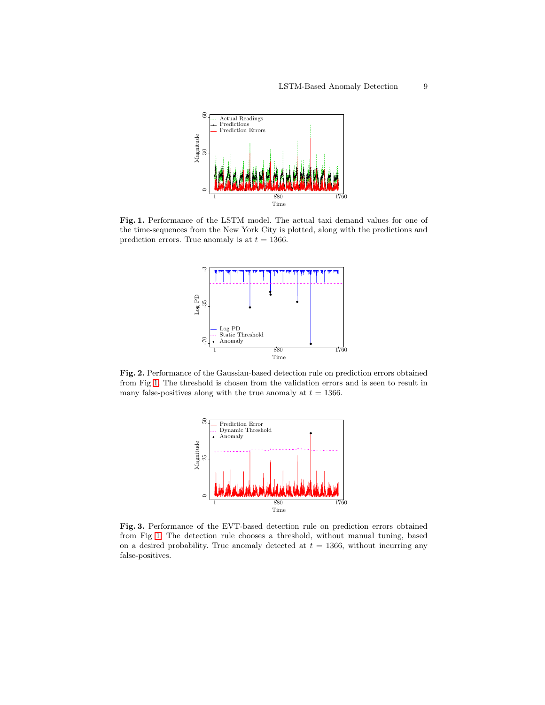

<span id="page-8-0"></span>Fig. 1. Performance of the LSTM model. The actual taxi demand values for one of the time-sequences from the New York City is plotted, along with the predictions and prediction errors. True anomaly is at  $t = 1366$ .



Fig. 2. Performance of the Gaussian-based detection rule on prediction errors obtained from Fig [1.](#page-8-0) The threshold is chosen from the validation errors and is seen to result in many false-positives along with the true anomaly at  $t = 1366$ .



<span id="page-8-1"></span>Fig. 3. Performance of the EVT-based detection rule on prediction errors obtained from Fig [1.](#page-8-0) The detection rule chooses a threshold, without manual tuning, based on a desired probability. True anomaly detected at  $t = 1366$ , without incurring any false-positives.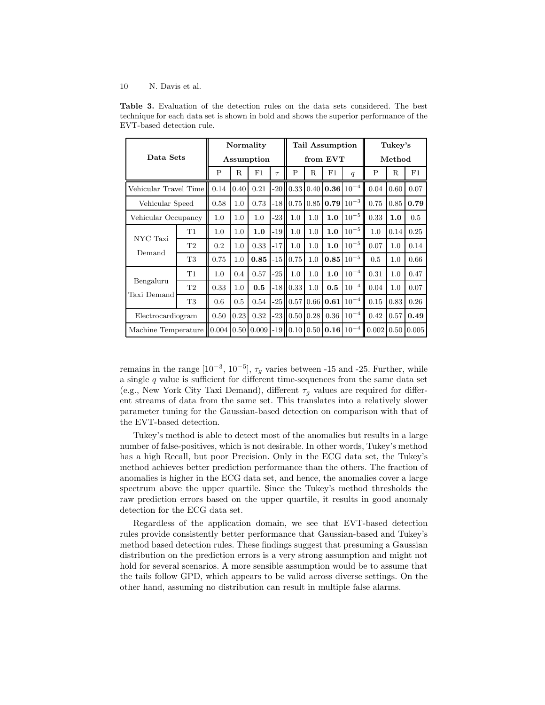#### 10 N. Davis et al.

| Data Sets                |                | Normality                  |      | <b>Tail Assumption</b> |          |            |      | Tukey's |             |              |      |                  |
|--------------------------|----------------|----------------------------|------|------------------------|----------|------------|------|---------|-------------|--------------|------|------------------|
|                          |                | Assumption                 |      |                        | from EVT |            |      | Method  |             |              |      |                  |
|                          |                | P                          | R.   | F1                     | $\tau$   | P          | R.   | F1      | q           | $\mathsf{P}$ | R.   | F1               |
| Vehicular Travel Time    |                | 0.14                       | 0.40 | 0.21                   | $-20$    | 0.33       | 0.40 | 0.36    | $10^{-4}\,$ | 0.04         | 0.60 | 0.07             |
| Vehicular Speed          |                | 0.58                       | 1.0  | 0.73                   | $-18$    | 0.75       | 0.85 | 0.79    | $10^{-3}$   | 0.75         | 0.85 | 0.79             |
| Vehicular Occupancy      |                | 1.0                        | 1.0  | 1.0                    | $-23$    | 1.0        | 1.0  | 1.0     | $10^{-5}$   | 0.33         | 1.0  | 0.5              |
| NYC Taxi<br>Demand       | T1             | 1.0                        | 1.0  | 1.0                    | $-19$    | 1.0        | 1.0  | 1.0     | $10^{-5}$   | 1.0          | 0.14 | 0.25             |
|                          | T2             | 0.2                        | 1.0  | 0.33                   | $-17$    | 1.0        | 1.0  | 1.0     | $10^{-5}$   | 0.07         | 1.0  | 0.14             |
|                          | T <sub>3</sub> | 0.75                       | 1.0  | 0.85                   | $-15$    | 0.75       | 1.0  | 0.85    | $10^{-5}$   | 0.5          | 1.0  | 0.66             |
| Bengaluru<br>Taxi Demand | T1             | 1.0                        | 0.4  | 0.57                   | $-25$    | 1.0        | 1.0  | 1.0     | $10^{-4}$   | 0.31         | 1.0  | 0.47             |
|                          | T <sub>2</sub> | 0.33                       | 1.0  | 0.5                    | $-18$    | 0.33       | 1.0  | 0.5     | $10^{-4}$   | 0.04         | 1.0  | 0.07             |
|                          | T3             | 0.6                        | 0.5  | 0.54                   | $-25$    | 0.57       | 0.66 | 0.61    | $10^{-4}$   | 0.15         | 0.83 | 0.26             |
| Electrocardiogram        |                | 0.50                       | 0.23 | 0.32                   |          | $-23$ 0.50 | 0.28 | 0.36    | $10^{-4}$   | 0.42         | 0.57 | 0.49             |
| Machine Temperature      |                | $0.004$   $0.50$   $0.009$ |      |                        |          | $-19$ 0.10 | 0.50 | 0.16    | $10^{-4}$   | 0.002        |      | $0.50\, \,0.005$ |

<span id="page-9-0"></span>Table 3. Evaluation of the detection rules on the data sets considered. The best technique for each data set is shown in bold and shows the superior performance of the EVT-based detection rule.

remains in the range  $[10^{-3}, 10^{-5}]$ ,  $\tau_g$  varies between -15 and -25. Further, while a single  $q$  value is sufficient for different time-sequences from the same data set (e.g., New York City Taxi Demand), different  $\tau_g$  values are required for different streams of data from the same set. This translates into a relatively slower parameter tuning for the Gaussian-based detection on comparison with that of the EVT-based detection.

Tukey's method is able to detect most of the anomalies but results in a large number of false-positives, which is not desirable. In other words, Tukey's method has a high Recall, but poor Precision. Only in the ECG data set, the Tukey's method achieves better prediction performance than the others. The fraction of anomalies is higher in the ECG data set, and hence, the anomalies cover a large spectrum above the upper quartile. Since the Tukey's method thresholds the raw prediction errors based on the upper quartile, it results in good anomaly detection for the ECG data set.

Regardless of the application domain, we see that EVT-based detection rules provide consistently better performance that Gaussian-based and Tukey's method based detection rules. These findings suggest that presuming a Gaussian distribution on the prediction errors is a very strong assumption and might not hold for several scenarios. A more sensible assumption would be to assume that the tails follow GPD, which appears to be valid across diverse settings. On the other hand, assuming no distribution can result in multiple false alarms.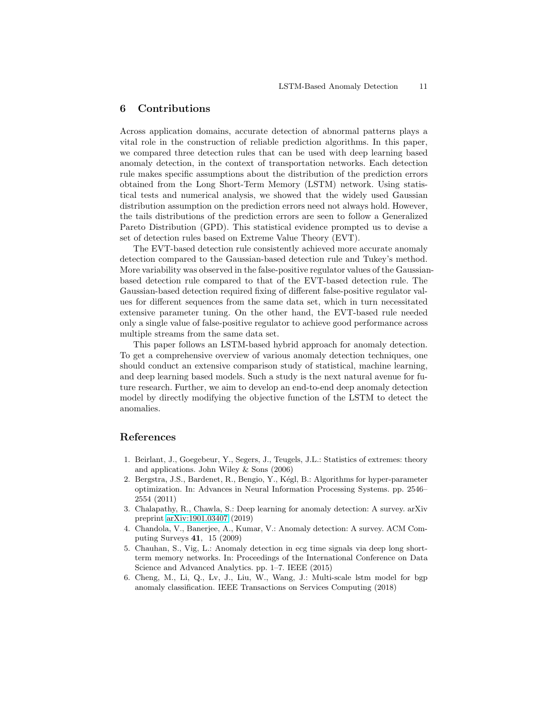# <span id="page-10-5"></span>6 Contributions

Across application domains, accurate detection of abnormal patterns plays a vital role in the construction of reliable prediction algorithms. In this paper, we compared three detection rules that can be used with deep learning based anomaly detection, in the context of transportation networks. Each detection rule makes specific assumptions about the distribution of the prediction errors obtained from the Long Short-Term Memory (LSTM) network. Using statistical tests and numerical analysis, we showed that the widely used Gaussian distribution assumption on the prediction errors need not always hold. However, the tails distributions of the prediction errors are seen to follow a Generalized Pareto Distribution (GPD). This statistical evidence prompted us to devise a set of detection rules based on Extreme Value Theory (EVT).

The EVT-based detection rule consistently achieved more accurate anomaly detection compared to the Gaussian-based detection rule and Tukey's method. More variability was observed in the false-positive regulator values of the Gaussianbased detection rule compared to that of the EVT-based detection rule. The Gaussian-based detection required fixing of different false-positive regulator values for different sequences from the same data set, which in turn necessitated extensive parameter tuning. On the other hand, the EVT-based rule needed only a single value of false-positive regulator to achieve good performance across multiple streams from the same data set.

This paper follows an LSTM-based hybrid approach for anomaly detection. To get a comprehensive overview of various anomaly detection techniques, one should conduct an extensive comparison study of statistical, machine learning, and deep learning based models. Such a study is the next natural avenue for future research. Further, we aim to develop an end-to-end deep anomaly detection model by directly modifying the objective function of the LSTM to detect the anomalies.

# References

- <span id="page-10-4"></span>1. Beirlant, J., Goegebeur, Y., Segers, J., Teugels, J.L.: Statistics of extremes: theory and applications. John Wiley & Sons (2006)
- <span id="page-10-6"></span>2. Bergstra, J.S., Bardenet, R., Bengio, Y., Kégl, B.: Algorithms for hyper-parameter optimization. In: Advances in Neural Information Processing Systems. pp. 2546– 2554 (2011)
- <span id="page-10-1"></span>3. Chalapathy, R., Chawla, S.: Deep learning for anomaly detection: A survey. arXiv preprint [arXiv:1901.03407](http://arxiv.org/abs/1901.03407) (2019)
- <span id="page-10-0"></span>4. Chandola, V., Banerjee, A., Kumar, V.: Anomaly detection: A survey. ACM Computing Surveys 41, 15 (2009)
- <span id="page-10-3"></span>5. Chauhan, S., Vig, L.: Anomaly detection in ecg time signals via deep long shortterm memory networks. In: Proceedings of the International Conference on Data Science and Advanced Analytics. pp. 1–7. IEEE (2015)
- <span id="page-10-2"></span>6. Cheng, M., Li, Q., Lv, J., Liu, W., Wang, J.: Multi-scale lstm model for bgp anomaly classification. IEEE Transactions on Services Computing (2018)